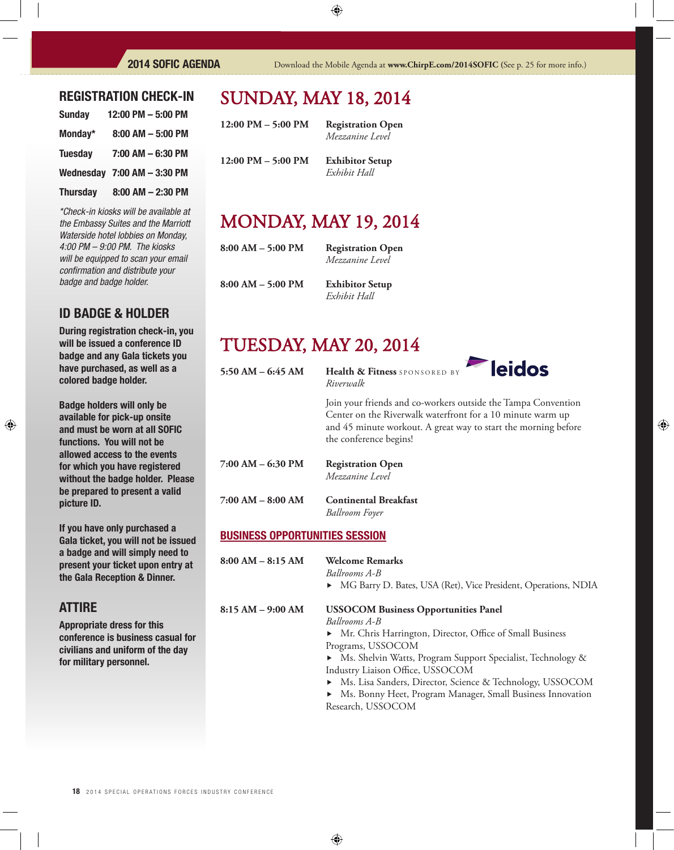### REGISTRATION CHECK-IN

| <b>Sunday</b>   | 12:00 PM - 5:00 PM             |
|-----------------|--------------------------------|
| Monday*         | $8:00$ AM $-5:00$ PM           |
| <b>Tuesday</b>  | 7:00 AM - 6:30 PM              |
|                 | Wednesday $7:00$ AM $-3:30$ PM |
| <b>Thursday</b> | $8:00$ AM $- 2:30$ PM          |

*\*Check-in kiosks will be available at the Embassy Suites and the Marriott Waterside hotel lobbies on Monday, 4:00 PM – 9:00 PM. The kiosks will be equipped to scan your email confi rmation and distribute your badge and badge holder.*

### ID BADGE & HOLDER

During registration check-in, you will be issued a conference ID badge and any Gala tickets you have purchased, as well as a colored badge holder.

Badge holders will only be available for pick-up onsite and must be worn at all SOFIC functions. You will not be allowed access to the events for which you have registered without the badge holder. Please be prepared to present a valid picture ID.

If you have only purchased a Gala ticket, you will not be issued a badge and will simply need to present your ticket upon entry at the Gala Reception & Dinner.

### ATTIRE

Appropriate dress for this conference is business casual for civilians and uniform of the day for military personnel.

# **SUNDAY, MAY 18, 2014**

**12:00 PM – 5:00 PM Registration Open**  *Mezzanine Level* **12:00 PM – 5:00 PM Exhibitor Setup**

  *Exhibit Hall*

# **MONDAY, MAY 19, 2014**

| $8:00 AM - 5:00 PM$ |  |
|---------------------|--|
|                     |  |
|                     |  |

**Registration Open**   *Mezzanine Level*

**8:00 AM – 5:00 PM Exhibitor Setup**

  *Exhibit Hall*

# **TUESDAY, MAY 20, 2014**

**5:50 AM – 6:45 AM Health & Fitness** SPONSORED BY *Riverwalk*



Join your friends and co-workers outside the Tampa Convention Center on the Riverwalk waterfront for a 10 minute warm up and 45 minute workout. A great way to start the morning before the conference begins!

- **7:00 AM 6:30 PM Registration Open**  *Mezzanine Level*
- **7:00 AM 8:00 AM Continental Breakfast**

  *Ballroom Foyer* 

#### BUSINESS OPPORTUNITIES SESSION

- **8:00 AM 8:15 AM Welcome Remarks** 
	- *Ballrooms A-B*
		- ▶ MG Barry D. Bates, USA (Ret), Vice President, Operations, NDIA

#### **8:15 AM – 9:00 AM USSOCOM Business Opportunities Panel**

*Ballrooms A-B*

**•** Mr. Chris Harrington, Director, Office of Small Business Programs, USSOCOM

 $\blacktriangleright$  Ms. Shelvin Watts, Program Support Specialist, Technology & Industry Liaison Office, USSOCOM

Ms. Lisa Sanders, Director, Science & Technology, USSOCOM

 Ms. Bonny Heet, Program Manager, Small Business Innovation Research, USSOCOM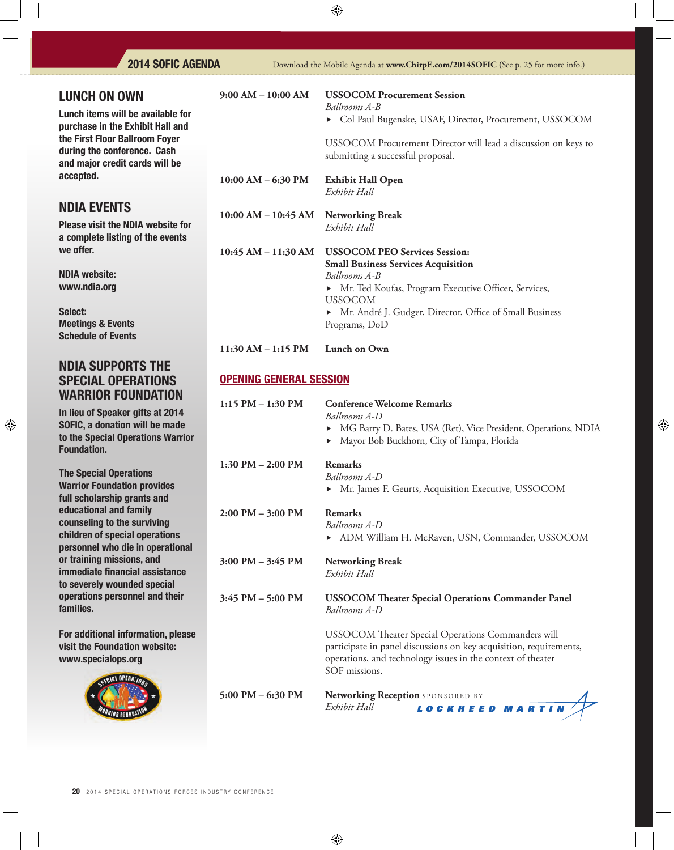| <b>LUNCH ON OWN</b>                                                                                                                 | $9:00 AM - 10:00 AM$           | <b>USSOCOM Procurement Session</b>                                                                           |
|-------------------------------------------------------------------------------------------------------------------------------------|--------------------------------|--------------------------------------------------------------------------------------------------------------|
| Lunch items will be available for                                                                                                   |                                | Ballrooms A-B<br>Col Paul Bugenske, USAF, Director, Procurement, USSOCOM                                     |
| purchase in the Exhibit Hall and<br>the First Floor Ballroom Foyer<br>during the conference. Cash<br>and major credit cards will be |                                | USSOCOM Procurement Director will lead a discussion on keys to<br>submitting a successful proposal.          |
| accepted.                                                                                                                           | $10:00$ AM $-$ 6:30 PM         | <b>Exhibit Hall Open</b><br>Exhibit Hall                                                                     |
| <b>NDIA EVENTS</b>                                                                                                                  | $10:00$ AM $- 10:45$ AM        | <b>Networking Break</b>                                                                                      |
| <b>Please visit the NDIA website for</b><br>a complete listing of the events                                                        |                                | Exhibit Hall                                                                                                 |
| we offer.                                                                                                                           | 10:45 AM - 11:30 AM            | <b>USSOCOM PEO Services Session:</b><br><b>Small Business Services Acquisition</b>                           |
| <b>NDIA website:</b>                                                                                                                |                                | Ballrooms A-B                                                                                                |
| www.ndia.org                                                                                                                        |                                | • Mr. Ted Koufas, Program Executive Officer, Services,<br><b>USSOCOM</b>                                     |
| Select:<br><b>Meetings &amp; Events</b><br><b>Schedule of Events</b>                                                                |                                | Mr. André J. Gudger, Director, Office of Small Business<br>Programs, DoD                                     |
|                                                                                                                                     | $11:30 AM - 1:15 PM$           | Lunch on Own                                                                                                 |
| <b>NDIA SUPPORTS THE</b><br><b>SPECIAL OPERATIONS</b><br><b>WARRIOR FOUNDATION</b>                                                  | <b>OPENING GENERAL SESSION</b> |                                                                                                              |
| In lieu of Speaker gifts at 2014                                                                                                    | $1:15$ PM $- 1:30$ PM          | <b>Conference Welcome Remarks</b><br>Ballrooms A-D                                                           |
| SOFIC, a donation will be made<br>to the Special Operations Warrior<br><b>Foundation.</b>                                           |                                | MG Barry D. Bates, USA (Ret), Vice President, Operations, NDIA<br>Mayor Bob Buckhorn, City of Tampa, Florida |
|                                                                                                                                     | $1:30$ PM $- 2:00$ PM          | Remarks                                                                                                      |
| <b>The Special Operations</b><br><b>Warrior Foundation provides</b><br>full scholarship grants and                                  |                                | Ballrooms A-D<br>• Mr. James F. Geurts, Acquisition Executive, USSOCOM                                       |
| educational and family<br>counseling to the surviving                                                                               | $2:00$ PM $-3:00$ PM           | <b>Remarks</b><br>Ballrooms A-D                                                                              |
| children of special operations<br>personnel who die in operational                                                                  |                                | > ADM William H. McRaven, USN, Commander, USSOCOM                                                            |
| or training missions, and                                                                                                           | $3:00$ PM $-3:45$ PM           | <b>Networking Break</b>                                                                                      |

 *Exhibit Hall* 

or training missions, and immediate financial assistance to severely wounded special operations personnel and their families.

For additional information, please visit the Foundation website: www.specialops.org



3:45 PM – 5:00 PM USSOCOM Theater Special Operations Commander Panel *Ballrooms A-D* 

> USSOCOM Theater Special Operations Commanders will participate in panel discussions on key acquisition, requirements, operations, and technology issues in the context of theater SOF missions.

**5:00 PM – 6:30 PM – Networking Reception** SPONSORED BY<br>*Exhibit Hall* **LOCKHEED MARTIN**  *Exhibit Hall*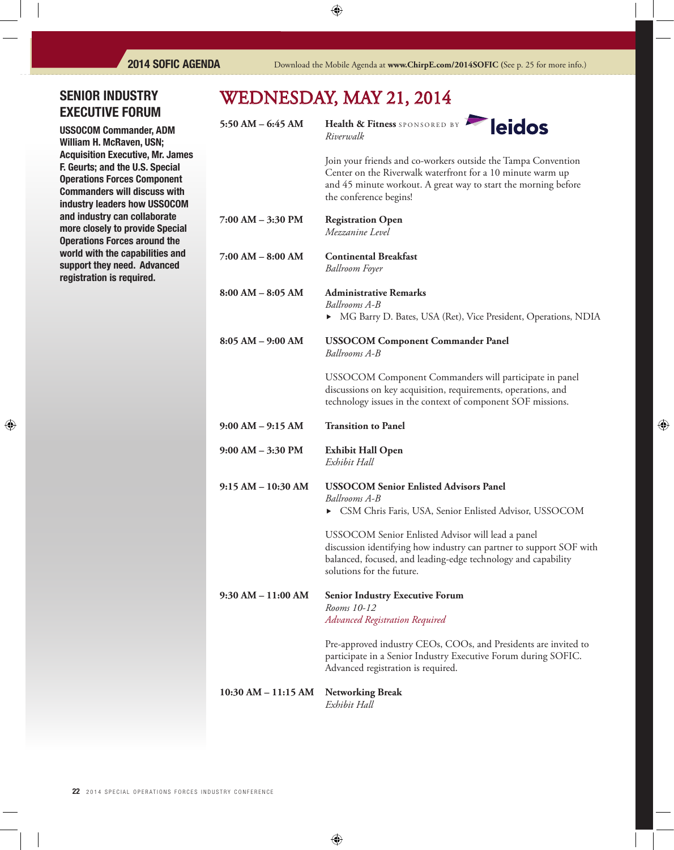## SENIOR INDUSTRY EXECUTIVE FORUM

USSOCOM Commander, ADM William H. McRaven, USN; Acquisition Executive, Mr. James F. Geurts; and the U.S. Special Operations Forces Component Commanders will discuss with industry leaders how USSOCOM and industry can collaborate more closely to provide Special Operations Forces around the world with the capabilities and support they need. Advanced registration is required.

# WEDNESDAY, MAY 21, 2014

5:50 AM – 6:45 AM Health & Fitness SPONSORED BY *Riverwalk*



Join your friends and co-workers outside the Tampa Convention Center on the Riverwalk waterfront for a 10 minute warm up and 45 minute workout. A great way to start the morning before the conference begins!

- **7:00 AM 3:30 PM Registration Open**  *Mezzanine Level*
- **7:00 AM 8:00 AM Continental Breakfast**  *Ballroom Foyer*

**8:00 AM – 8:05 AM Administrative Remarks** *Ballrooms A-B*  $\triangleright$  MG Barry D. Bates, USA (Ret), Vice President, Operations, NDIA

**8:05 AM – 9:00 AM USSOCOM Component Commander Panel** *Ballrooms A-B*

> USSOCOM Component Commanders will participate in panel discussions on key acquisition, requirements, operations, and technology issues in the context of component SOF missions.

| $9:00 AM - 3:30 PM$ | <b>Exhibit Hall Open</b><br>Exhibit Hall |
|---------------------|------------------------------------------|

**9:00 AM – 9:15 AM Transition to Panel**

| 9:15 AM – 10:30 AM | <b>USSOCOM Senior Enlisted Advisors Panel</b>                                                                                                                                                                                                                                                                                                                                                                                                           |
|--------------------|---------------------------------------------------------------------------------------------------------------------------------------------------------------------------------------------------------------------------------------------------------------------------------------------------------------------------------------------------------------------------------------------------------------------------------------------------------|
|                    | Ballrooms A-B                                                                                                                                                                                                                                                                                                                                                                                                                                           |
|                    | • CSM Chris Faris, USA, Senior Enlisted Advisor, USSOCOM                                                                                                                                                                                                                                                                                                                                                                                                |
|                    | $\mathbf{1} \mathbf{1} \cap \mathbf{1} \cap \mathbf{1} \cap \mathbf{1} \cap \mathbf{1} \cap \mathbf{1} \cap \mathbf{1} \cap \mathbf{1} \cap \mathbf{1} \cap \mathbf{1} \cap \mathbf{1} \cap \mathbf{1} \cap \mathbf{1} \cap \mathbf{1} \cap \mathbf{1} \cap \mathbf{1} \cap \mathbf{1} \cap \mathbf{1} \cap \mathbf{1} \cap \mathbf{1} \cap \mathbf{1} \cap \mathbf{1} \cap \mathbf{1} \cap \mathbf{1} \cap \mathbf{1} \cap \mathbf{1} \cap \mathbf{1}$ |

USSOCOM Senior Enlisted Advisor will lead a panel discussion identifying how industry can partner to support SOF with balanced, focused, and leading-edge technology and capability solutions for the future.

**9:30 AM – 11:00 AM Senior Industry Executive Forum**  *Rooms 10-12 Advanced Registration Required*

> Pre-approved industry CEOs, COOs, and Presidents are invited to participate in a Senior Industry Executive Forum during SOFIC. Advanced registration is required.

### **10:30 AM – 11:15 AM Networking Break**

*Exhibit Hall*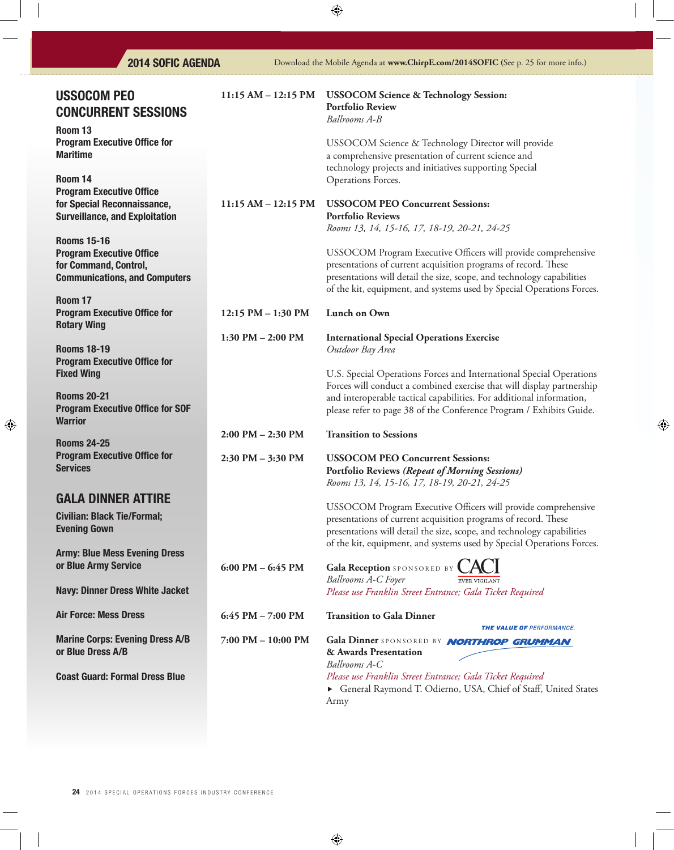| <b>2014 SOFIC AGENDA</b>                                                                                               |                       | Download the Mobile Agenda at www.ChirpE.com/2014SOFIC (See p. 25 for more info.)                                                                                                                                                                                                           |
|------------------------------------------------------------------------------------------------------------------------|-----------------------|---------------------------------------------------------------------------------------------------------------------------------------------------------------------------------------------------------------------------------------------------------------------------------------------|
| <b>USSOCOM PEO</b><br><b>CONCURRENT SESSIONS</b>                                                                       | $11:15 AM - 12:15 PM$ | <b>USSOCOM Science &amp; Technology Session:</b><br><b>Portfolio Review</b><br>Ballrooms A-B                                                                                                                                                                                                |
| Room 13<br><b>Program Executive Office for</b><br><b>Maritime</b>                                                      |                       | USSOCOM Science & Technology Director will provide<br>a comprehensive presentation of current science and<br>technology projects and initiatives supporting Special                                                                                                                         |
| Room 14<br><b>Program Executive Office</b>                                                                             |                       | Operations Forces.                                                                                                                                                                                                                                                                          |
| for Special Reconnaissance,<br><b>Surveillance, and Exploitation</b>                                                   | $11:15 AM - 12:15 PM$ | <b>USSOCOM PEO Concurrent Sessions:</b><br><b>Portfolio Reviews</b><br>Rooms 13, 14, 15-16, 17, 18-19, 20-21, 24-25                                                                                                                                                                         |
| <b>Rooms 15-16</b><br><b>Program Executive Office</b><br>for Command, Control,<br><b>Communications, and Computers</b> |                       | USSOCOM Program Executive Officers will provide comprehensive<br>presentations of current acquisition programs of record. These<br>presentations will detail the size, scope, and technology capabilities<br>of the kit, equipment, and systems used by Special Operations Forces.          |
| Room 17<br><b>Program Executive Office for</b><br><b>Rotary Wing</b>                                                   | 12:15 PM - 1:30 PM    | Lunch on Own                                                                                                                                                                                                                                                                                |
| <b>Rooms 18-19</b><br><b>Program Executive Office for</b>                                                              | 1:30 PM $-$ 2:00 PM   | <b>International Special Operations Exercise</b><br>Outdoor Bay Area                                                                                                                                                                                                                        |
| <b>Fixed Wing</b><br><b>Rooms 20-21</b><br><b>Program Executive Office for SOF</b><br><b>Warrior</b>                   |                       | U.S. Special Operations Forces and International Special Operations<br>Forces will conduct a combined exercise that will display partnership<br>and interoperable tactical capabilities. For additional information,<br>please refer to page 38 of the Conference Program / Exhibits Guide. |
| <b>Rooms 24-25</b>                                                                                                     | 2:00 PM - 2:30 PM     | <b>Transition to Sessions</b>                                                                                                                                                                                                                                                               |
| <b>Program Executive Office for</b><br><b>Services</b>                                                                 | $2:30$ PM $-3:30$ PM  | <b>USSOCOM PEO Concurrent Sessions:</b><br>Portfolio Reviews (Repeat of Morning Sessions)<br>Rooms 13, 14, 15-16, 17, 18-19, 20-21, 24-25                                                                                                                                                   |
| <b>GALA DINNER ATTIRE</b><br><b>Civilian: Black Tie/Formal;</b><br><b>Evening Gown</b>                                 |                       | USSOCOM Program Executive Officers will provide comprehensive<br>presentations of current acquisition programs of record. These<br>presentations will detail the size, scope, and technology capabilities<br>of the kit, equipment, and systems used by Special Operations Forces.          |
| <b>Army: Blue Mess Evening Dress</b><br>or Blue Army Service                                                           | 6:00 PM $-$ 6:45 PM   | Gala Reception SPONSORED BY                                                                                                                                                                                                                                                                 |
| <b>Navy: Dinner Dress White Jacket</b>                                                                                 |                       | Ballrooms A-C Foyer<br><b>EVER VIGILANT</b><br>Please use Franklin Street Entrance; Gala Ticket Required                                                                                                                                                                                    |
| <b>Air Force: Mess Dress</b>                                                                                           | 6:45 PM $- 7:00$ PM   | <b>Transition to Gala Dinner</b>                                                                                                                                                                                                                                                            |
| <b>Marine Corps: Evening Dress A/B</b><br>or Blue Dress A/B                                                            | 7:00 PM - 10:00 PM    | THE VALUE OF PERFORMANCE.<br>Gala Dinner SPONSORED BY NORTHROP GRUMMAN<br>& Awards Presentation<br>Ballrooms A-C                                                                                                                                                                            |
| <b>Coast Guard: Formal Dress Blue</b>                                                                                  |                       | Please use Franklin Street Entrance; Gala Ticket Required<br>General Raymond T. Odierno, USA, Chief of Staff, United States<br>Army                                                                                                                                                         |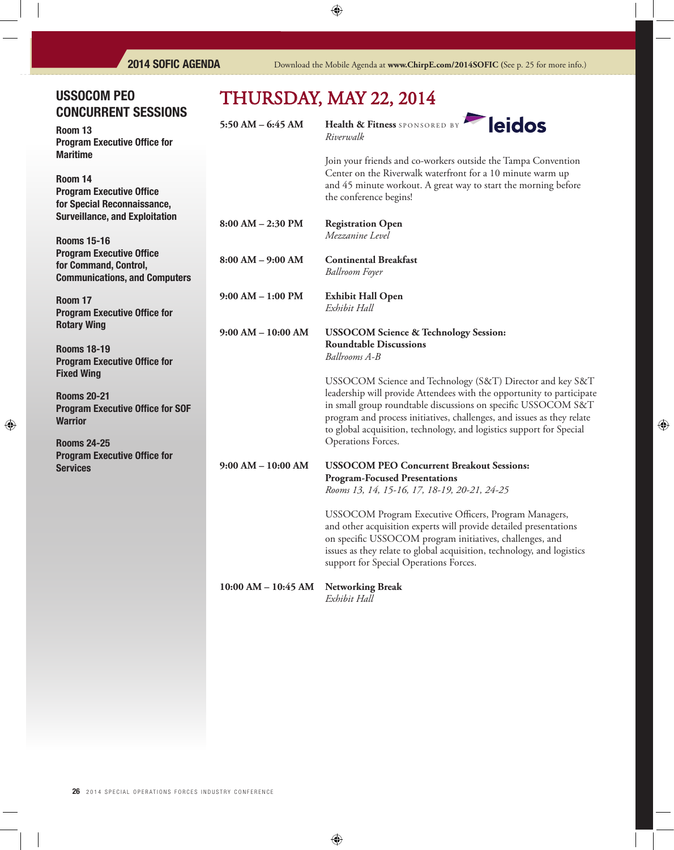## USSOCOM PEO CONCURRENT SESSIONS

Room 13 **Program Executive Office for** Maritime

Room 14 **Program Executive Office** for Special Reconnaissance, Surveillance, and Exploitation

Rooms 15-16 **Program Executive Office** for Command, Control, Communications, and Computers

Room 17 **Program Executive Office for** Rotary Wing

Rooms 18-19 Program Executive Office for Fixed Wing

Rooms 20-21 Program Executive Office for SOF **Warrior** 

Rooms 24-25 **Program Executive Office for** Services

# THURSDAY, MAY 22, 2014

**5:50 AM – 6:45 AM Health & Fitness** SPONSORED BY *Riverwalk*



Join your friends and co-workers outside the Tampa Convention Center on the Riverwalk waterfront for a 10 minute warm up and 45 minute workout. A great way to start the morning before the conference begins!

**8:00 AM – 2:30 PM Registration Open**  *Mezzanine Level*

**8:00 AM – 9:00 AM Continental Breakfast**  *Ballroom Foyer* 

**9:00 AM – 1:00 PM Exhibit Hall Open** *Exhibit Hall*

**9:00 AM – 10:00 AM USSOCOM Science & Technology Session: Roundtable Discussions** *Ballrooms A-B*

> USSOCOM Science and Technology (S&T) Director and key S&T leadership will provide Attendees with the opportunity to participate in small group roundtable discussions on specific USSOCOM S&T program and process initiatives, challenges, and issues as they relate to global acquisition, technology, and logistics support for Special Operations Forces.

### **9:00 AM – 10:00 AM USSOCOM PEO Concurrent Breakout Sessions: Program-Focused Presentations**

 *Rooms 13, 14, 15-16, 17, 18-19, 20-21, 24-25*

USSOCOM Program Executive Officers, Program Managers, and other acquisition experts will provide detailed presentations on specific USSOCOM program initiatives, challenges, and issues as they relate to global acquisition, technology, and logistics support for Special Operations Forces.

**10:00 AM – 10:45 AM Networking Break**

 *Exhibit Hall*